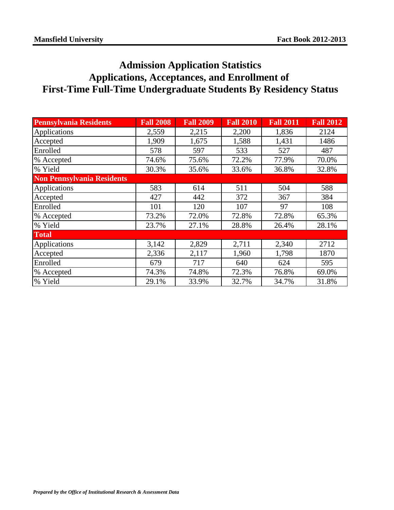## **Admission Application Statistics Applications, Acceptances, and Enrollment of First-Time Full-Time Undergraduate Students By Residency Status**

| <b>Pennsylvania Residents</b>     | <b>Fall 2008</b> | <b>Fall 2009</b> | <b>Fall 2010</b> | <b>Fall 2011</b> | <b>Fall 2012</b> |
|-----------------------------------|------------------|------------------|------------------|------------------|------------------|
| Applications                      | 2,559            | 2,215            | 2,200            | 1,836            | 2124             |
| Accepted                          | 1,909            | 1,675            | 1,588            | 1,431            | 1486             |
| Enrolled                          | 578              | 597              | 533              | 527              | 487              |
| % Accepted                        | 74.6%            | 75.6%            | 72.2%            | 77.9%            | 70.0%            |
| % Yield                           | 30.3%            | 35.6%            | 33.6%            | 36.8%            | 32.8%            |
| <b>Non Pennsylvania Residents</b> |                  |                  |                  |                  |                  |
| Applications                      | 583              | 614              | 511              | 504              | 588              |
| Accepted                          | 427              | 442              | 372              | 367              | 384              |
| Enrolled                          | 101              | 120              | 107              | 97               | 108              |
| % Accepted                        | 73.2%            | 72.0%            | 72.8%            | 72.8%            | 65.3%            |
| % Yield                           | 23.7%            | 27.1%            | 28.8%            | 26.4%            | 28.1%            |
| <b>Total</b>                      |                  |                  |                  |                  |                  |
| Applications                      | 3,142            | 2,829            | 2,711            | 2,340            | 2712             |
| Accepted                          | 2,336            | 2,117            | 1,960            | 1,798            | 1870             |
| Enrolled                          | 679              | 717              | 640              | 624              | 595              |
| % Accepted                        | 74.3%            | 74.8%            | 72.3%            | 76.8%            | 69.0%            |
| % Yield                           | 29.1%            | 33.9%            | 32.7%            | 34.7%            | 31.8%            |